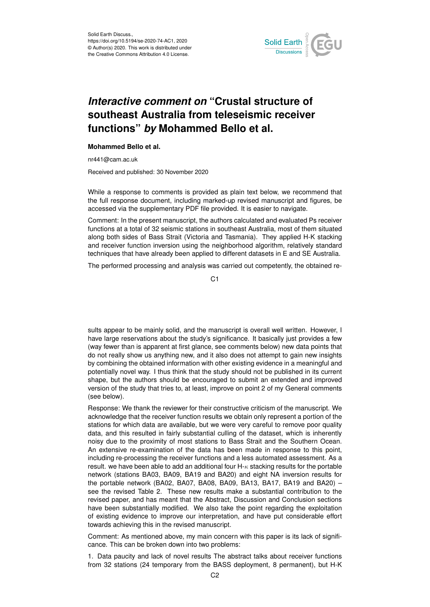

## *Interactive comment on* **"Crustal structure of southeast Australia from teleseismic receiver functions"** *by* **Mohammed Bello et al.**

## **Mohammed Bello et al.**

nr441@cam.ac.uk

Received and published: 30 November 2020

While a response to comments is provided as plain text below, we recommend that the full response document, including marked-up revised manuscript and figures, be accessed via the supplementary PDF file provided. It is easier to navigate.

Comment: In the present manuscript, the authors calculated and evaluated Ps receiver functions at a total of 32 seismic stations in southeast Australia, most of them situated along both sides of Bass Strait (Victoria and Tasmania). They applied H-K stacking and receiver function inversion using the neighborhood algorithm, relatively standard techniques that have already been applied to different datasets in E and SE Australia.

The performed processing and analysis was carried out competently, the obtained re-

C<sub>1</sub>

sults appear to be mainly solid, and the manuscript is overall well written. However, I have large reservations about the study's significance. It basically just provides a few (way fewer than is apparent at first glance, see comments below) new data points that do not really show us anything new, and it also does not attempt to gain new insights by combining the obtained information with other existing evidence in a meaningful and potentially novel way. I thus think that the study should not be published in its current shape, but the authors should be encouraged to submit an extended and improved version of the study that tries to, at least, improve on point 2 of my General comments (see below).

Response: We thank the reviewer for their constructive criticism of the manuscript. We acknowledge that the receiver function results we obtain only represent a portion of the stations for which data are available, but we were very careful to remove poor quality data, and this resulted in fairly substantial culling of the dataset, which is inherently noisy due to the proximity of most stations to Bass Strait and the Southern Ocean. An extensive re-examination of the data has been made in response to this point, including re-processing the receiver functions and a less automated assessment. As a result. we have been able to add an additional four  $H_{\kappa}$  stacking results for the portable network (stations BA03, BA09, BA19 and BA20) and eight NA inversion results for the portable network (BA02, BA07, BA08, BA09, BA13, BA17, BA19 and BA20) – see the revised Table 2. These new results make a substantial contribution to the revised paper, and has meant that the Abstract, Discussion and Conclusion sections have been substantially modified. We also take the point regarding the exploitation of existing evidence to improve our interpretation, and have put considerable effort towards achieving this in the revised manuscript.

Comment: As mentioned above, my main concern with this paper is its lack of significance. This can be broken down into two problems:

1. Data paucity and lack of novel results The abstract talks about receiver functions from 32 stations (24 temporary from the BASS deployment, 8 permanent), but H-K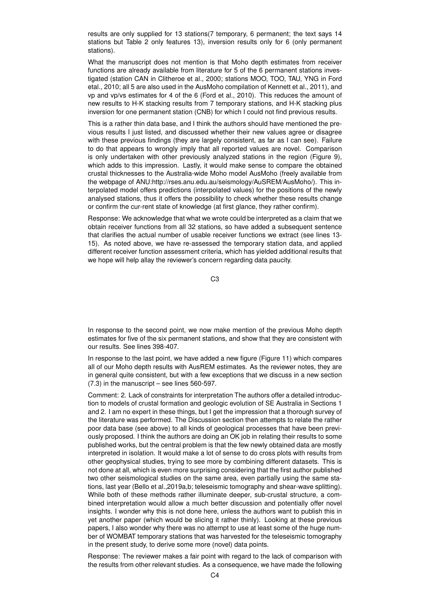results are only supplied for 13 stations(7 temporary, 6 permanent; the text says 14 stations but Table 2 only features 13), inversion results only for 6 (only permanent stations).

What the manuscript does not mention is that Moho depth estimates from receiver functions are already available from literature for 5 of the 6 permanent stations investigated (station CAN in Clitheroe et al., 2000; stations MOO, TOO, TAU, YNG in Ford etal., 2010; all 5 are also used in the AusMoho compilation of Kennett et al., 2011), and vp and vp/vs estimates for 4 of the 6 (Ford et al., 2010). This reduces the amount of new results to H-K stacking results from 7 temporary stations, and H-K stacking plus inversion for one permanent station (CNB) for which I could not find previous results.

This is a rather thin data base, and I think the authors should have mentioned the previous results I just listed, and discussed whether their new values agree or disagree with these previous findings (they are largely consistent, as far as I can see). Failure to do that appears to wrongly imply that all reported values are novel. Comparison is only undertaken with other previously analyzed stations in the region (Figure 9), which adds to this impression. Lastly, it would make sense to compare the obtained crustal thicknesses to the Australia-wide Moho model AusMoho (freely available from the webpage of ANU:http://rses.anu.edu.au/seismology/AuSREM/AusMoho/). This interpolated model offers predictions (interpolated values) for the positions of the newly analysed stations, thus it offers the possibility to check whether these results change or confirm the cur-rent state of knowledge (at first glance, they rather confirm).

Response: We acknowledge that what we wrote could be interpreted as a claim that we obtain receiver functions from all 32 stations, so have added a subsequent sentence that clarifies the actual number of usable receiver functions we extract (see lines 13- 15). As noted above, we have re-assessed the temporary station data, and applied different receiver function assessment criteria, which has yielded additional results that we hope will help allay the reviewer's concern regarding data paucity.

C3

In response to the second point, we now make mention of the previous Moho depth estimates for five of the six permanent stations, and show that they are consistent with our results. See lines 398-407.

In response to the last point, we have added a new figure (Figure 11) which compares all of our Moho depth results with AusREM estimates. As the reviewer notes, they are in general quite consistent, but with a few exceptions that we discuss in a new section (7.3) in the manuscript – see lines 560-597.

Comment: 2. Lack of constraints for interpretation The authors offer a detailed introduction to models of crustal formation and geologic evolution of SE Australia in Sections 1 and 2. I am no expert in these things, but I get the impression that a thorough survey of the literature was performed. The Discussion section then attempts to relate the rather poor data base (see above) to all kinds of geological processes that have been previously proposed. I think the authors are doing an OK job in relating their results to some published works, but the central problem is that the few newly obtained data are mostly interpreted in isolation. It would make a lot of sense to do cross plots with results from other geophysical studies, trying to see more by combining different datasets. This is not done at all, which is even more surprising considering that the first author published two other seismological studies on the same area, even partially using the same stations, last year (Bello et al.,2019a,b; teleseismic tomography and shear-wave splitting). While both of these methods rather illuminate deeper, sub-crustal structure, a combined interpretation would allow a much better discussion and potentially offer novel insights. I wonder why this is not done here, unless the authors want to publish this in yet another paper (which would be slicing it rather thinly). Looking at these previous papers, I also wonder why there was no attempt to use at least some of the huge number of WOMBAT temporary stations that was harvested for the teleseismic tomography in the present study, to derive some more (novel) data points.

Response: The reviewer makes a fair point with regard to the lack of comparison with the results from other relevant studies. As a consequence, we have made the following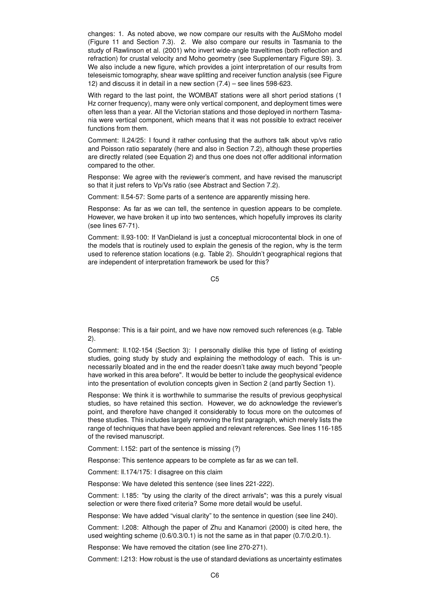changes: 1. As noted above, we now compare our results with the AuSMoho model (Figure 11 and Section 7.3). 2. We also compare our results in Tasmania to the study of Rawlinson et al. (2001) who invert wide-angle traveltimes (both reflection and refraction) for crustal velocity and Moho geometry (see Supplementary Figure S9). 3. We also include a new figure, which provides a joint interpretation of our results from teleseismic tomography, shear wave splitting and receiver function analysis (see Figure 12) and discuss it in detail in a new section (7.4) – see lines 598-623.

With regard to the last point, the WOMBAT stations were all short period stations (1 Hz corner frequency), many were only vertical component, and deployment times were often less than a year. All the Victorian stations and those deployed in northern Tasmania were vertical component, which means that it was not possible to extract receiver functions from them.

Comment: ll.24/25: I found it rather confusing that the authors talk about vp/vs ratio and Poisson ratio separately (here and also in Section 7.2), although these properties are directly related (see Equation 2) and thus one does not offer additional information compared to the other.

Response: We agree with the reviewer's comment, and have revised the manuscript so that it just refers to Vp/Vs ratio (see Abstract and Section 7.2).

Comment: ll.54-57: Some parts of a sentence are apparently missing here.

Response: As far as we can tell, the sentence in question appears to be complete. However, we have broken it up into two sentences, which hopefully improves its clarity (see lines 67-71).

Comment: ll.93-100: If VanDieland is just a conceptual microcontental block in one of the models that is routinely used to explain the genesis of the region, why is the term used to reference station locations (e.g. Table 2). Shouldn't geographical regions that are independent of interpretation framework be used for this?

C5

Response: This is a fair point, and we have now removed such references (e.g. Table 2).

Comment: ll.102-154 (Section 3): I personally dislike this type of listing of existing studies, going study by study and explaining the methodology of each. This is unnecessarily bloated and in the end the reader doesn't take away much beyond "people have worked in this area before". It would be better to include the geophysical evidence into the presentation of evolution concepts given in Section 2 (and partly Section 1).

Response: We think it is worthwhile to summarise the results of previous geophysical studies, so have retained this section. However, we do acknowledge the reviewer's point, and therefore have changed it considerably to focus more on the outcomes of these studies. This includes largely removing the first paragraph, which merely lists the range of techniques that have been applied and relevant references. See lines 116-185 of the revised manuscript.

Comment: l.152: part of the sentence is missing (?)

Response: This sentence appears to be complete as far as we can tell.

Comment: ll.174/175: I disagree on this claim

Response: We have deleted this sentence (see lines 221-222).

Comment: l.185: "by using the clarity of the direct arrivals"; was this a purely visual selection or were there fixed criteria? Some more detail would be useful.

Response: We have added "visual clarity" to the sentence in question (see line 240).

Comment: l.208: Although the paper of Zhu and Kanamori (2000) is cited here, the used weighting scheme (0.6/0.3/0.1) is not the same as in that paper (0.7/0.2/0.1).

Response: We have removed the citation (see line 270-271).

Comment: l.213: How robust is the use of standard deviations as uncertainty estimates